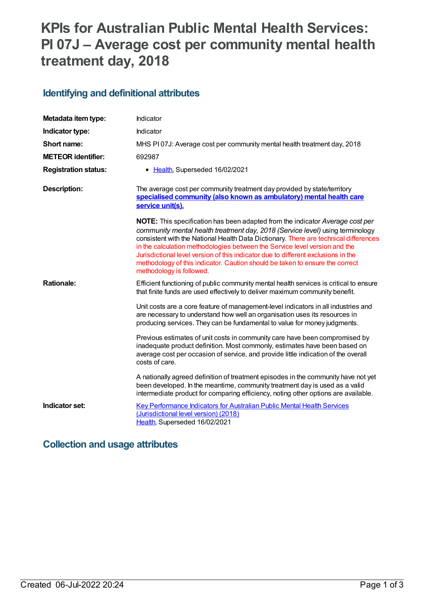# **KPIs for Australian Public Mental Health Services: PI 07J – Average cost per community mental health treatment day, 2018**

#### **Identifying and definitional attributes**

| Metadata item type:         | Indicator                                                                                                                                                                                                                                                                                                                                                                                                                                                                                                                                    |
|-----------------------------|----------------------------------------------------------------------------------------------------------------------------------------------------------------------------------------------------------------------------------------------------------------------------------------------------------------------------------------------------------------------------------------------------------------------------------------------------------------------------------------------------------------------------------------------|
| Indicator type:             | Indicator                                                                                                                                                                                                                                                                                                                                                                                                                                                                                                                                    |
| Short name:                 | MHS PI07J: Average cost per community mental health treatment day, 2018                                                                                                                                                                                                                                                                                                                                                                                                                                                                      |
| <b>METEOR identifier:</b>   | 692987                                                                                                                                                                                                                                                                                                                                                                                                                                                                                                                                       |
| <b>Registration status:</b> | • Health, Superseded 16/02/2021                                                                                                                                                                                                                                                                                                                                                                                                                                                                                                              |
| <b>Description:</b>         | The average cost per community treatment day provided by state/territory<br>specialised community (also known as ambulatory) mental health care<br>service unit(s).                                                                                                                                                                                                                                                                                                                                                                          |
|                             | <b>NOTE:</b> This specification has been adapted from the indicator Average cost per<br>community mental health treatment day, 2018 (Service level) using terminology<br>consistent with the National Health Data Dictionary. There are technical differences<br>in the calculation methodologies between the Service level version and the<br>Jurisdictional level version of this indicator due to different exclusions in the<br>methodology of this indicator. Caution should be taken to ensure the correct<br>methodology is followed. |
| <b>Rationale:</b>           | Efficient functioning of public community mental health services is critical to ensure<br>that finite funds are used effectively to deliver maximum community benefit.                                                                                                                                                                                                                                                                                                                                                                       |
|                             | Unit costs are a core feature of management-level indicators in all industries and<br>are necessary to understand how well an organisation uses its resources in<br>producing services. They can be fundamental to value for money judgments.                                                                                                                                                                                                                                                                                                |
|                             | Previous estimates of unit costs in community care have been compromised by<br>inadequate product definition. Most commonly, estimates have been based on<br>average cost per occasion of service, and provide little indication of the overall<br>costs of care.                                                                                                                                                                                                                                                                            |
|                             | A nationally agreed definition of treatment episodes in the community have not yet<br>been developed. In the meantime, community treatment day is used as a valid<br>intermediate product for comparing efficiency, noting other options are available.                                                                                                                                                                                                                                                                                      |
| Indicator set:              | <b>Key Performance Indicators for Australian Public Mental Health Services</b><br>(Jurisdictional level version) (2018)<br>Health, Superseded 16/02/2021                                                                                                                                                                                                                                                                                                                                                                                     |

#### **Collection and usage attributes**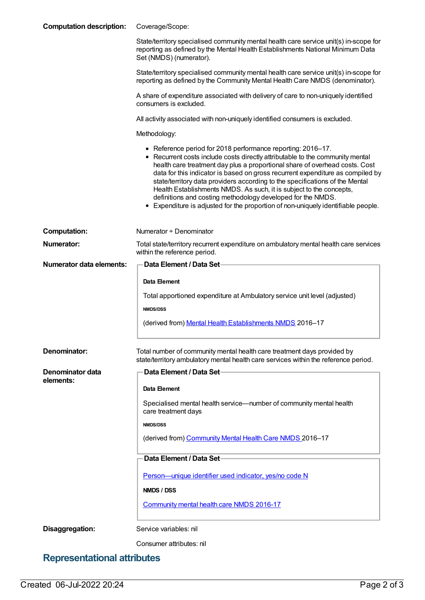| <b>Computation description:</b> | Coverage/Scope:                                                                                                                                                                                                                                                                                                                                                                                                                                                                                                                                                                                                          |
|---------------------------------|--------------------------------------------------------------------------------------------------------------------------------------------------------------------------------------------------------------------------------------------------------------------------------------------------------------------------------------------------------------------------------------------------------------------------------------------------------------------------------------------------------------------------------------------------------------------------------------------------------------------------|
|                                 | State/territory specialised community mental health care service unit(s) in-scope for<br>reporting as defined by the Mental Health Establishments National Minimum Data<br>Set (NMDS) (numerator).                                                                                                                                                                                                                                                                                                                                                                                                                       |
|                                 | State/territory specialised community mental health care service unit(s) in-scope for<br>reporting as defined by the Community Mental Health Care NMDS (denominator).                                                                                                                                                                                                                                                                                                                                                                                                                                                    |
|                                 | A share of expenditure associated with delivery of care to non-uniquely identified<br>consumers is excluded.                                                                                                                                                                                                                                                                                                                                                                                                                                                                                                             |
|                                 | All activity associated with non-uniquely identified consumers is excluded.                                                                                                                                                                                                                                                                                                                                                                                                                                                                                                                                              |
|                                 | Methodology:                                                                                                                                                                                                                                                                                                                                                                                                                                                                                                                                                                                                             |
|                                 | • Reference period for 2018 performance reporting: 2016-17.<br>• Recurrent costs include costs directly attributable to the community mental<br>health care treatment day plus a proportional share of overhead costs. Cost<br>data for this indicator is based on gross recurrent expenditure as compiled by<br>state/territory data providers according to the specifications of the Mental<br>Health Establishments NMDS. As such, it is subject to the concepts,<br>definitions and costing methodology developed for the NMDS.<br>• Expenditure is adjusted for the proportion of non-uniquely identifiable people. |
| <b>Computation:</b>             | Numerator + Denominator                                                                                                                                                                                                                                                                                                                                                                                                                                                                                                                                                                                                  |
| <b>Numerator:</b>               | Total state/territory recurrent expenditure on ambulatory mental health care services<br>within the reference period.                                                                                                                                                                                                                                                                                                                                                                                                                                                                                                    |
| Numerator data elements:        | Data Element / Data Set-                                                                                                                                                                                                                                                                                                                                                                                                                                                                                                                                                                                                 |
|                                 | Data Element                                                                                                                                                                                                                                                                                                                                                                                                                                                                                                                                                                                                             |
|                                 | Total apportioned expenditure at Ambulatory service unit level (adjusted)                                                                                                                                                                                                                                                                                                                                                                                                                                                                                                                                                |
|                                 | <b>NMDS/DSS</b>                                                                                                                                                                                                                                                                                                                                                                                                                                                                                                                                                                                                          |
|                                 | (derived from) Mental Health Establishments NMDS 2016-17                                                                                                                                                                                                                                                                                                                                                                                                                                                                                                                                                                 |
| Denominator:                    | Total number of community mental health care treatment days provided by<br>state/territory ambulatory mental health care services within the reference period.                                                                                                                                                                                                                                                                                                                                                                                                                                                           |
| <b>Denominator data</b>         | Data Element / Data Set-                                                                                                                                                                                                                                                                                                                                                                                                                                                                                                                                                                                                 |
| elements:                       | Data Element                                                                                                                                                                                                                                                                                                                                                                                                                                                                                                                                                                                                             |
|                                 | Specialised mental health service—number of community mental health<br>care treatment days                                                                                                                                                                                                                                                                                                                                                                                                                                                                                                                               |
|                                 | <b>NMDS/DSS</b>                                                                                                                                                                                                                                                                                                                                                                                                                                                                                                                                                                                                          |
|                                 | (derived from) Community Mental Health Care NMDS 2016-17                                                                                                                                                                                                                                                                                                                                                                                                                                                                                                                                                                 |
|                                 | Data Element / Data Set-                                                                                                                                                                                                                                                                                                                                                                                                                                                                                                                                                                                                 |
|                                 | Person-unique identifier used indicator, yes/no code N                                                                                                                                                                                                                                                                                                                                                                                                                                                                                                                                                                   |
|                                 | NMDS / DSS                                                                                                                                                                                                                                                                                                                                                                                                                                                                                                                                                                                                               |
|                                 | Community mental health care NMDS 2016-17                                                                                                                                                                                                                                                                                                                                                                                                                                                                                                                                                                                |
| Disaggregation:                 | Service variables: nil                                                                                                                                                                                                                                                                                                                                                                                                                                                                                                                                                                                                   |
|                                 | Consumer attributes: nil                                                                                                                                                                                                                                                                                                                                                                                                                                                                                                                                                                                                 |

## **Representational attributes**